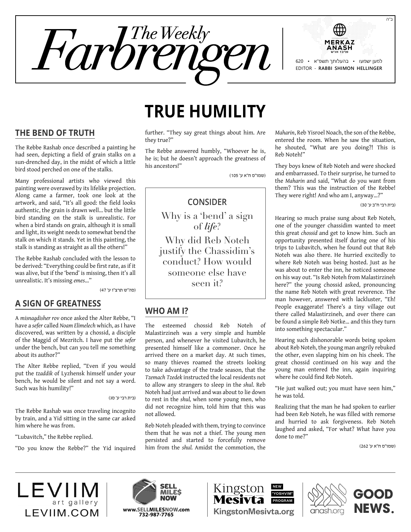



# **True humility**

**The Bend of Truth**

The Rebbe Rashab once described a painting he had seen, depicting a field of grain stalks on a sun-drenched day, in the midst of which a little bird stood perched on one of the stalks.

Many professional artists who viewed this painting were overawed by its lifelike projection. Along came a farmer, took one look at the artwork, and said, "It's all good: the field looks authentic, the grain is drawn well… but the little bird standing on the stalk is unrealistic. For when a bird stands on grain, although it is small and light, its weight needs to somewhat bend the stalk on which it stands. Yet in this painting, the stalk is standing as straight as all the others!"

The Rebbe Rashab concluded with the lesson to be derived: "Everything could be first rate, as if it was alive, but if the 'bend' is missing, then it's all unrealistic. It's missing *emes*…"

)סה"ש תרצ"ו ע' 47(

#### **A Sign of Greatness**

A *misnagdisher rov* once asked the Alter Rebbe, "I have a *sefer* called *Noam Elimelech* which, as I have discovered, was written by a chossid, a disciple of the Maggid of Mezritch. I have put the *sefer*  under the bench, but can you tell me something about its author?"

The Alter Rebbe replied, "Even if you would put the *tzaddik* of Lyzhensk himself under your bench, he would be silent and not say a word. Such was his humility!"

)בית רבי ע' סג(

The Rebbe Rashab was once traveling incognito by train, and a Yid sitting in the same car asked him where he was from.

"Lubavitch," the Rebbe replied.

"Do you know the Rebbe?" the Yid inquired

further. "They say great things about him. Are they true?"

The Rebbe answered humbly, "Whoever he is, he is; but he doesn't approach the greatness of his ancestors!"

)שמו"ס ח"א ע' 105(

# **Consider**

Why is a 'bend' a sign of *life*? Why did Reb Noteh justify the Chassidim's conduct? How would someone else have seen it?

# **Who am I?**

The esteemed chossid Reb Noteh of Malastirzineh was a very simple and humble person, and whenever he visited Lubavitch, he presented himself like a commoner. Once he arrived there on a market day. At such times, so many thieves roamed the streets looking to take advantage of the trade season, that the *Tzemach Tzedek* instructed the local residents not to allow any strangers to sleep in the *shul*. Reb Noteh had just arrived and was about to lie down to rest in the *shul,* when some young men, who did not recognize him, told him that this was not allowed.

Reb Noteh pleaded with them, trying to convince them that he was not a thief. The young men persisted and started to forcefully remove him from the *shul.* Amidst the commotion, the *Maharin*, Reb Yisroel Noach, the son of the Rebbe, entered the room. When he saw the situation, he shouted, "What are you doing?! This is Reb Noteh!"

They boys knew of Reb Noteh and were shocked and embarrassed. To their surprise, he turned to the *Maharin* and said, "What do you want from them? This was the instruction of the Rebbe! They were right! And who am I, anyway…?"

)בית רבי ח"ב ע' 30(

Hearing so much praise sung about Reb Noteh, one of the younger chassidim wanted to meet this great *chossid* and get to know him. Such an opportunity presented itself during one of his trips to Lubavitch, when he found out that Reb Noteh was also there. He hurried excitedly to where Reb Noteh was being hosted. Just as he was about to enter the inn, he noticed someone on his way out. "Is Reb Noteh from Malastirzineh here?" the young chossid asked, pronouncing the name Reb Noteh with great reverence. The man however, answered with lackluster, "Eh! People exaggerate! There's a tiny village out there called Malastirzineh, and over there can be found a simple Reb Notke… and this they turn into something spectacular."

Hearing such dishonorable words being spoken about Reb Noteh, the young man angrily rebuked the other, even slapping him on his cheek. The great chossid continued on his way and the young man entered the inn, again inquiring where he could find Reb Noteh.

"He just walked out; you must have seen him," he was told.

Realizing that the man he had spoken to earlier had been Reb Noteh, he was filled with remorse and hurried to ask forgiveness. Reb Noteh laughed and asked, "For what? What have you done to me?"

)שמו"ס ח"א ע' 262(